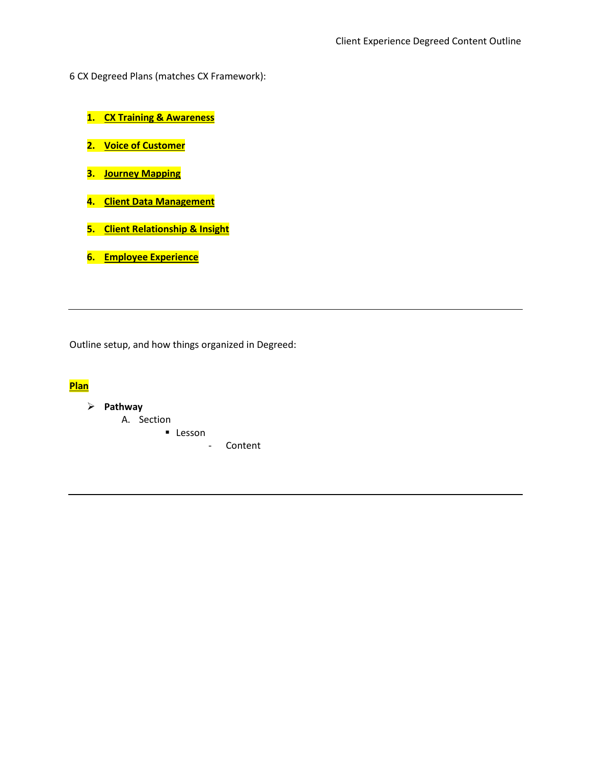6 CX Degreed Plans (matches CX Framework):

- **1. CX Training & Awareness**
- **2. Voice of Customer**
- **3. Journey Mapping**
- **4. Client Data Management**
- **5. Client Relationship & Insight**
- **6. Employee Experience**

Outline setup, and how things organized in Degreed:

# **Plan**

# ➢ **Pathway**

- A. Section
	- Lesson
		- Content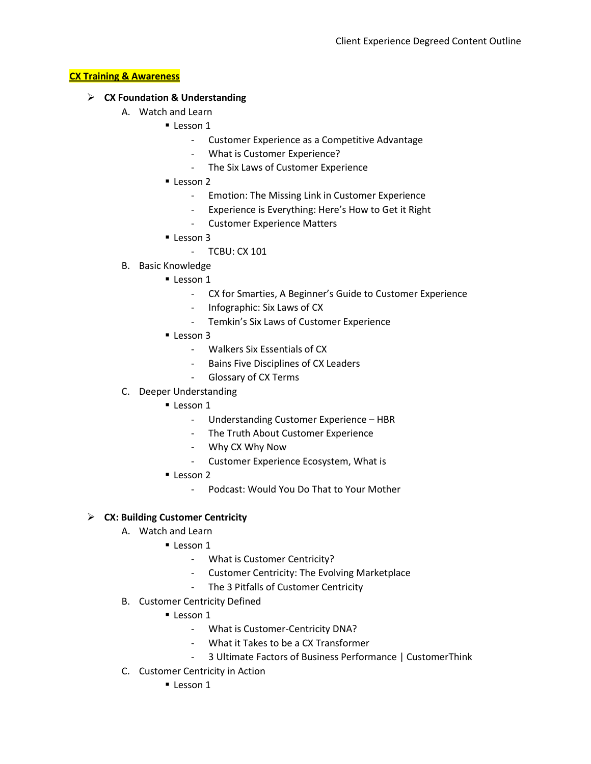# **CX Training & Awareness**

# ➢ **CX Foundation & Understanding**

- A. Watch and Learn
	- **Lesson 1** 
		- Customer Experience as a Competitive Advantage
		- What is Customer Experience?
		- The Six Laws of Customer Experience
		- **Lesson 2** 
			- Emotion: The Missing Link in Customer Experience
			- Experience is Everything: Here's How to Get it Right
			- Customer Experience Matters
		- Lesson 3
			- TCBU: CX 101
- B. Basic Knowledge
	- **Lesson 1** 
		- CX for Smarties, A Beginner's Guide to Customer Experience
		- Infographic: Six Laws of CX
		- Temkin's Six Laws of Customer Experience
	- Lesson 3
		- Walkers Six Essentials of CX
		- Bains Five Disciplines of CX Leaders
		- Glossary of CX Terms
- C. Deeper Understanding
	- **E** Lesson 1
		- Understanding Customer Experience HBR
		- The Truth About Customer Experience
		- Why CX Why Now
		- Customer Experience Ecosystem, What is
	- **Lesson 2** 
		- Podcast: Would You Do That to Your Mother

### ➢ **CX: Building Customer Centricity**

- A. Watch and Learn
	- **Lesson 1** 
		- What is Customer Centricity?
		- Customer Centricity: The Evolving Marketplace
		- The 3 Pitfalls of Customer Centricity
- B. Customer Centricity Defined
	- **E** Lesson 1
		- What is Customer-Centricity DNA?
		- What it Takes to be a CX Transformer
		- 3 Ultimate Factors of Business Performance | CustomerThink
- C. Customer Centricity in Action
	- **E** Lesson 1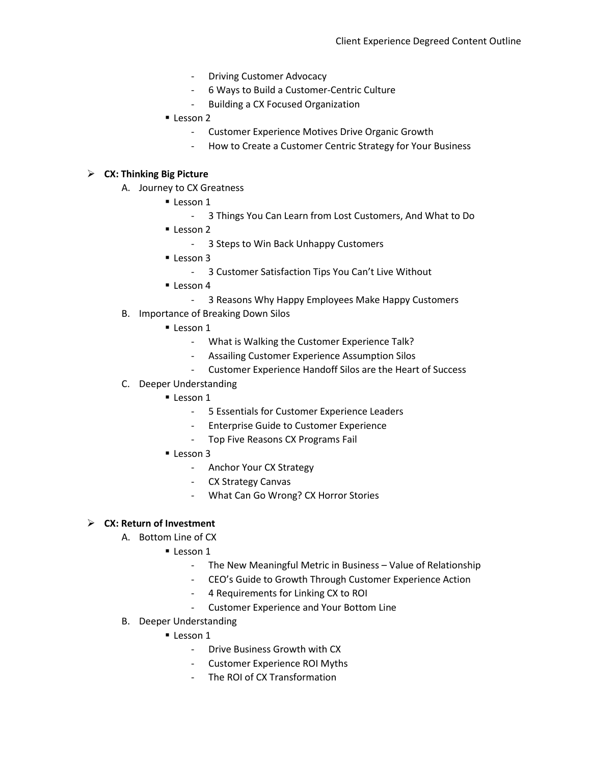- Driving Customer Advocacy
- 6 Ways to Build a Customer-Centric Culture
- Building a CX Focused Organization
- **Lesson 2** 
	- Customer Experience Motives Drive Organic Growth
	- How to Create a Customer Centric Strategy for Your Business

#### ➢ **CX: Thinking Big Picture**

- A. Journey to CX Greatness
	- **Lesson 1** 
		- 3 Things You Can Learn from Lost Customers, And What to Do
	- **Lesson 2** 
		- 3 Steps to Win Back Unhappy Customers
	- Lesson 3
		- 3 Customer Satisfaction Tips You Can't Live Without
	- **Lesson 4** 
		- 3 Reasons Why Happy Employees Make Happy Customers
- B. Importance of Breaking Down Silos
	- **E** Lesson 1
		- What is Walking the Customer Experience Talk?
		- Assailing Customer Experience Assumption Silos
		- Customer Experience Handoff Silos are the Heart of Success
- C. Deeper Understanding
	- **Lesson 1** 
		- 5 Essentials for Customer Experience Leaders
		- Enterprise Guide to Customer Experience
		- Top Five Reasons CX Programs Fail
	- Lesson 3
		- Anchor Your CX Strategy
		- CX Strategy Canvas
		- What Can Go Wrong? CX Horror Stories

#### ➢ **CX: Return of Investment**

- A. Bottom Line of CX
	- **Lesson 1** 
		- The New Meaningful Metric in Business Value of Relationship
		- CEO's Guide to Growth Through Customer Experience Action
		- 4 Requirements for Linking CX to ROI
		- Customer Experience and Your Bottom Line
- B. Deeper Understanding
	- **E** Lesson 1
		- Drive Business Growth with CX
		- Customer Experience ROI Myths
		- The ROI of CX Transformation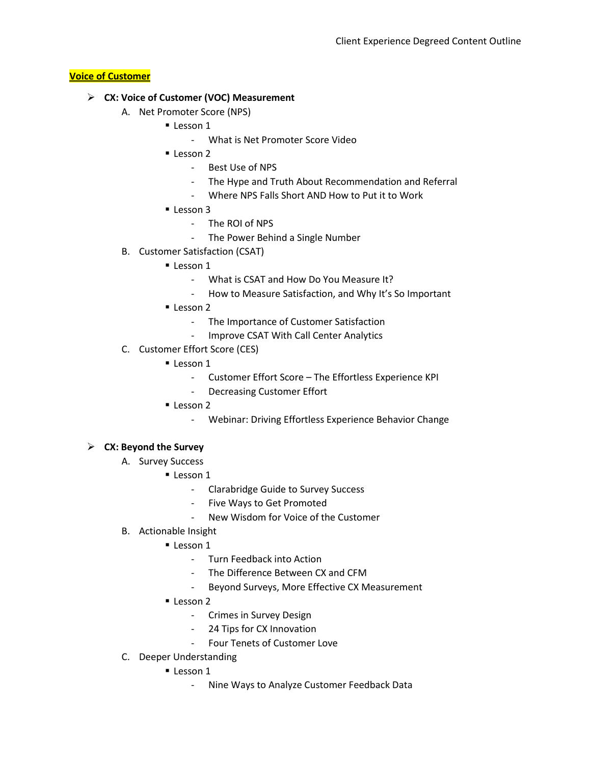# **Voice of Customer**

# ➢ **CX: Voice of Customer (VOC) Measurement**

- A. Net Promoter Score (NPS)
	- **Lesson 1** 
		- What is Net Promoter Score Video
	- **Lesson 2** 
		- Best Use of NPS
		- The Hype and Truth About Recommendation and Referral
		- Where NPS Falls Short AND How to Put it to Work
	- $\blacksquare$  Lesson 3
		- The ROI of NPS
		- The Power Behind a Single Number
- B. Customer Satisfaction (CSAT)
	- **Lesson 1** 
		- What is CSAT and How Do You Measure It?
		- How to Measure Satisfaction, and Why It's So Important
	- **Lesson 2** 
		- The Importance of Customer Satisfaction
		- Improve CSAT With Call Center Analytics
- C. Customer Effort Score (CES)
	- **E** Lesson 1
		- Customer Effort Score The Effortless Experience KPI
		- Decreasing Customer Effort
	- $\blacksquare$  Lesson 2
		- Webinar: Driving Effortless Experience Behavior Change

# ➢ **CX: Beyond the Survey**

- A. Survey Success
	- **Lesson 1** 
		- Clarabridge Guide to Survey Success
		- Five Ways to Get Promoted
		- New Wisdom for Voice of the Customer
- B. Actionable Insight
	- **Lesson 1** 
		- Turn Feedback into Action
		- The Difference Between CX and CFM
		- Beyond Surveys, More Effective CX Measurement
	- **Lesson 2** 
		- Crimes in Survey Design
		- 24 Tips for CX Innovation
		- Four Tenets of Customer Love
- C. Deeper Understanding
	- **E** Lesson 1
		- Nine Ways to Analyze Customer Feedback Data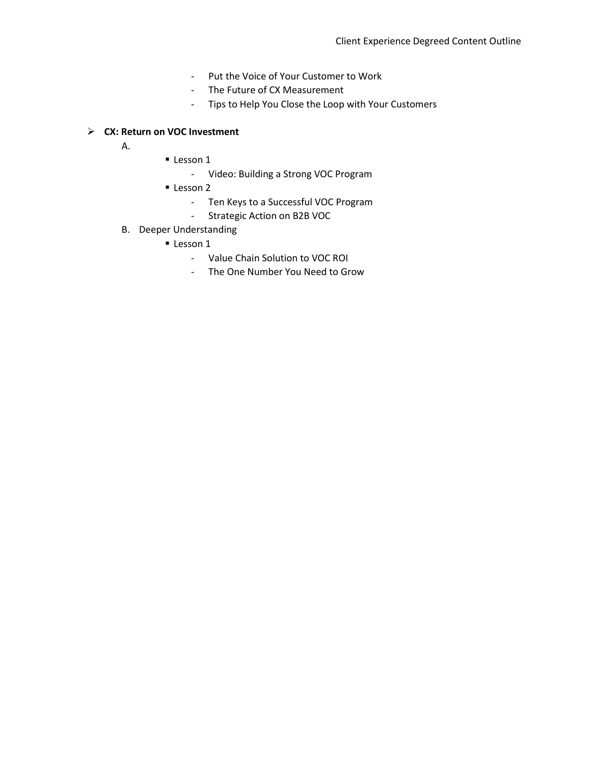- Put the Voice of Your Customer to Work
- The Future of CX Measurement
- Tips to Help You Close the Loop with Your Customers

# ➢ **CX: Return on VOC Investment**

A.

# **Lesson 1**

- Video: Building a Strong VOC Program
- Lesson 2
	- Ten Keys to a Successful VOC Program
	- Strategic Action on B2B VOC
- B. Deeper Understanding
	- **Lesson 1** 
		- Value Chain Solution to VOC ROI
		- The One Number You Need to Grow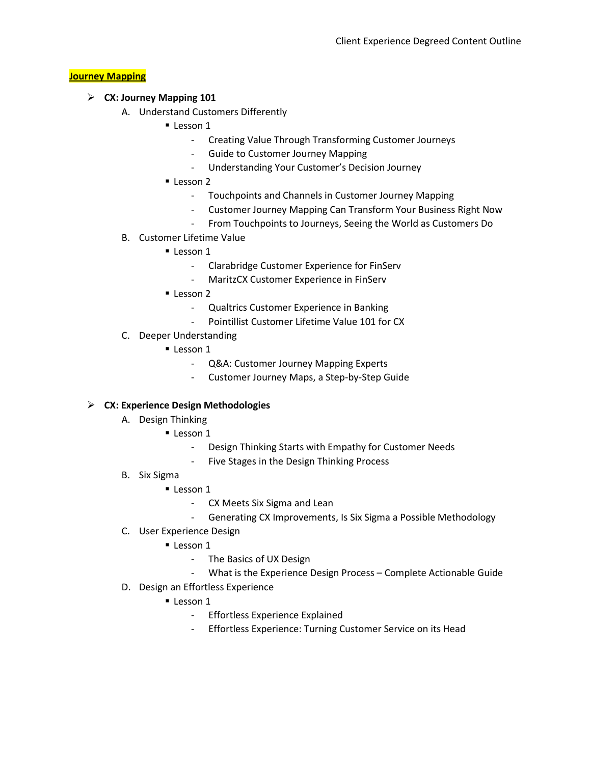# **Journey Mapping**

# ➢ **CX: Journey Mapping 101**

- A. Understand Customers Differently
	- **Lesson 1** 
		- Creating Value Through Transforming Customer Journeys
		- Guide to Customer Journey Mapping
		- Understanding Your Customer's Decision Journey
		- **Lesson 2** 
			- Touchpoints and Channels in Customer Journey Mapping
			- Customer Journey Mapping Can Transform Your Business Right Now
			- From Touchpoints to Journeys, Seeing the World as Customers Do
- B. Customer Lifetime Value
	- **Lesson 1** 
		- Clarabridge Customer Experience for FinServ
		- MaritzCX Customer Experience in FinServ
		- **Lesson 2** 
			- Qualtrics Customer Experience in Banking
			- Pointillist Customer Lifetime Value 101 for CX
- C. Deeper Understanding
	- **Lesson 1** 
		- Q&A: Customer Journey Mapping Experts
		- Customer Journey Maps, a Step-by-Step Guide

# ➢ **CX: Experience Design Methodologies**

- A. Design Thinking
	- **E** Lesson 1
		- Design Thinking Starts with Empathy for Customer Needs
		- Five Stages in the Design Thinking Process
- B. Six Sigma
	- **E** Lesson 1
		- CX Meets Six Sigma and Lean
		- Generating CX Improvements, Is Six Sigma a Possible Methodology
- C. User Experience Design
	- **Lesson 1** 
		- The Basics of UX Design
		- What is the Experience Design Process Complete Actionable Guide
- D. Design an Effortless Experience
	- **Lesson 1** 
		- Effortless Experience Explained
		- Effortless Experience: Turning Customer Service on its Head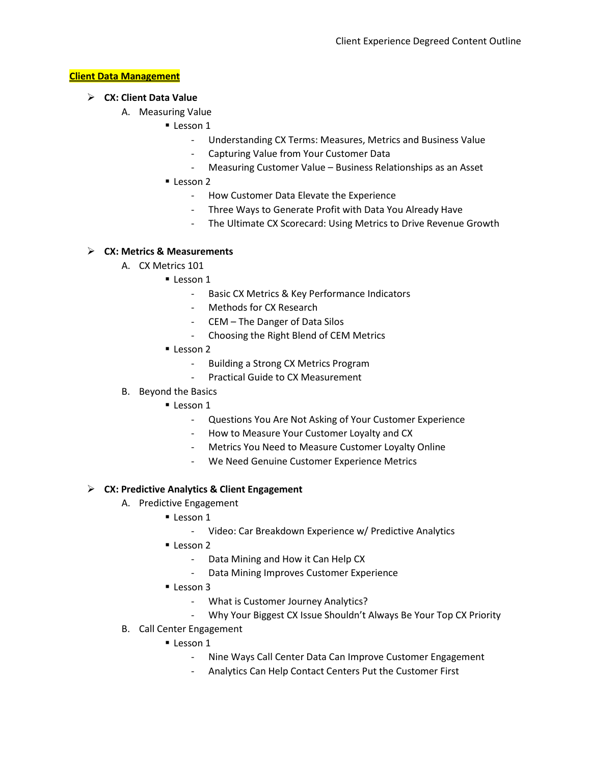# **Client Data Management**

# ➢ **CX: Client Data Value**

- A. Measuring Value
	- **Lesson 1** 
		- Understanding CX Terms: Measures, Metrics and Business Value
		- Capturing Value from Your Customer Data
		- Measuring Customer Value Business Relationships as an Asset
		- **Lesson 2** 
			- How Customer Data Elevate the Experience
			- Three Ways to Generate Profit with Data You Already Have
			- The Ultimate CX Scorecard: Using Metrics to Drive Revenue Growth

# ➢ **CX: Metrics & Measurements**

- A. CX Metrics 101
	- **E** Lesson 1
		- Basic CX Metrics & Key Performance Indicators
		- Methods for CX Research
		- CEM The Danger of Data Silos
		- Choosing the Right Blend of CEM Metrics
	- **Lesson 2** 
		- Building a Strong CX Metrics Program
		- Practical Guide to CX Measurement

### B. Beyond the Basics

- **E** Lesson 1
	- Questions You Are Not Asking of Your Customer Experience
	- How to Measure Your Customer Loyalty and CX
	- Metrics You Need to Measure Customer Loyalty Online
	- We Need Genuine Customer Experience Metrics

# ➢ **CX: Predictive Analytics & Client Engagement**

- A. Predictive Engagement
	- **Lesson 1** 
		- Video: Car Breakdown Experience w/ Predictive Analytics
	- **Lesson 2** 
		- Data Mining and How it Can Help CX
		- Data Mining Improves Customer Experience
	- **Lesson 3** 
		- What is Customer Journey Analytics?
		- Why Your Biggest CX Issue Shouldn't Always Be Your Top CX Priority
- B. Call Center Engagement
	- **Lesson 1** 
		- Nine Ways Call Center Data Can Improve Customer Engagement
		- Analytics Can Help Contact Centers Put the Customer First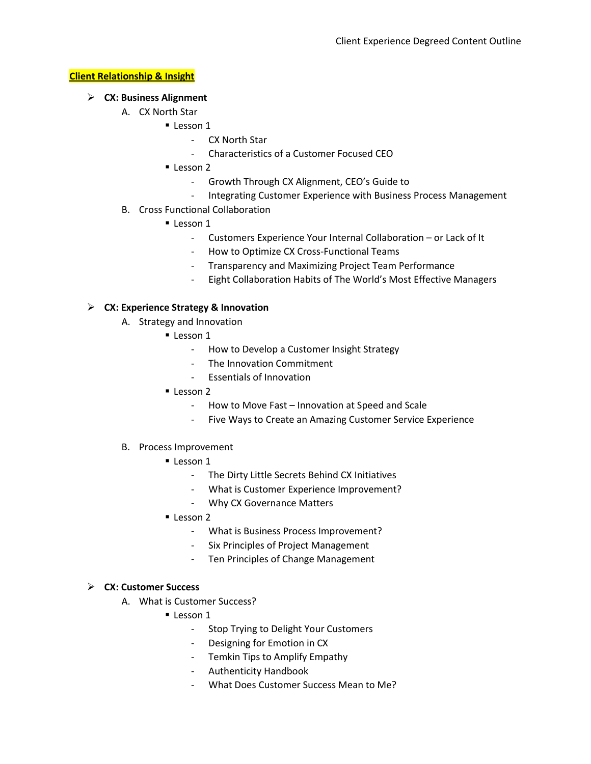### **Client Relationship & Insight**

### ➢ **CX: Business Alignment**

- A. CX North Star
	- **Lesson 1** 
		- CX North Star
		- Characteristics of a Customer Focused CEO
		- Lesson 2
			- Growth Through CX Alignment, CEO's Guide to
			- Integrating Customer Experience with Business Process Management
- B. Cross Functional Collaboration
	- **Lesson 1** 
		- Customers Experience Your Internal Collaboration or Lack of It
		- How to Optimize CX Cross-Functional Teams
		- Transparency and Maximizing Project Team Performance
		- Eight Collaboration Habits of The World's Most Effective Managers

#### ➢ **CX: Experience Strategy & Innovation**

- A. Strategy and Innovation
	- **Lesson 1** 
		- How to Develop a Customer Insight Strategy
		- The Innovation Commitment
		- Essentials of Innovation
	- **Lesson 2** 
		- How to Move Fast Innovation at Speed and Scale
		- Five Ways to Create an Amazing Customer Service Experience
- B. Process Improvement
	- **Lesson 1** 
		- The Dirty Little Secrets Behind CX Initiatives
		- What is Customer Experience Improvement?
		- Why CX Governance Matters
	- **Lesson 2** 
		- What is Business Process Improvement?
		- Six Principles of Project Management
		- Ten Principles of Change Management

#### ➢ **CX: Customer Success**

- A. What is Customer Success?
	- **Lesson 1** 
		- Stop Trying to Delight Your Customers
		- Designing for Emotion in CX
		- Temkin Tips to Amplify Empathy
		- Authenticity Handbook
		- What Does Customer Success Mean to Me?